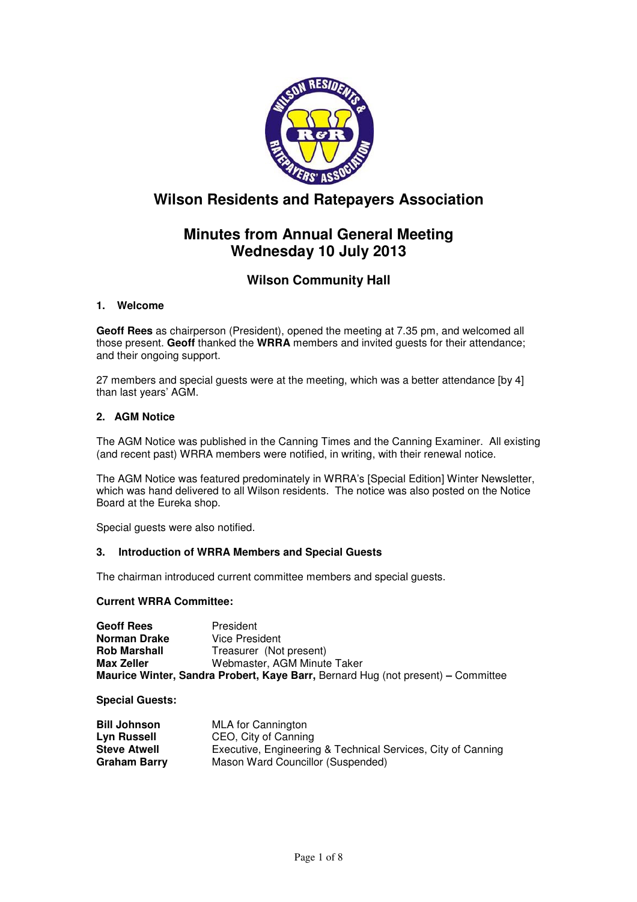

# **Wilson Residents and Ratepayers Association**

# **Minutes from Annual General Meeting Wednesday 10 July 2013**

# **Wilson Community Hall**

# **1. Welcome**

**Geoff Rees** as chairperson (President), opened the meeting at 7.35 pm, and welcomed all those present. **Geoff** thanked the **WRRA** members and invited guests for their attendance; and their ongoing support.

27 members and special guests were at the meeting, which was a better attendance [by 4] than last years' AGM.

# **2. AGM Notice**

The AGM Notice was published in the Canning Times and the Canning Examiner. All existing (and recent past) WRRA members were notified, in writing, with their renewal notice.

The AGM Notice was featured predominately in WRRA's [Special Edition] Winter Newsletter, which was hand delivered to all Wilson residents. The notice was also posted on the Notice Board at the Eureka shop.

Special guests were also notified.

# **3. Introduction of WRRA Members and Special Guests**

The chairman introduced current committee members and special guests.

## **Current WRRA Committee:**

| <b>Geoff Rees</b>                                                                       | President                   |
|-----------------------------------------------------------------------------------------|-----------------------------|
| Norman Drake                                                                            | Vice President              |
| <b>Rob Marshall</b>                                                                     | Treasurer (Not present)     |
| Max Zeller                                                                              | Webmaster, AGM Minute Taker |
| <b>Maurice Winter, Sandra Probert, Kaye Barr, Bernard Hug (not present) – Committee</b> |                             |

**Special Guests:** 

| <b>Bill Johnson</b> | MLA for Cannington                                           |
|---------------------|--------------------------------------------------------------|
| Lyn Russell         | CEO, City of Canning                                         |
| <b>Steve Atwell</b> | Executive, Engineering & Technical Services, City of Canning |
| <b>Graham Barry</b> | Mason Ward Councillor (Suspended)                            |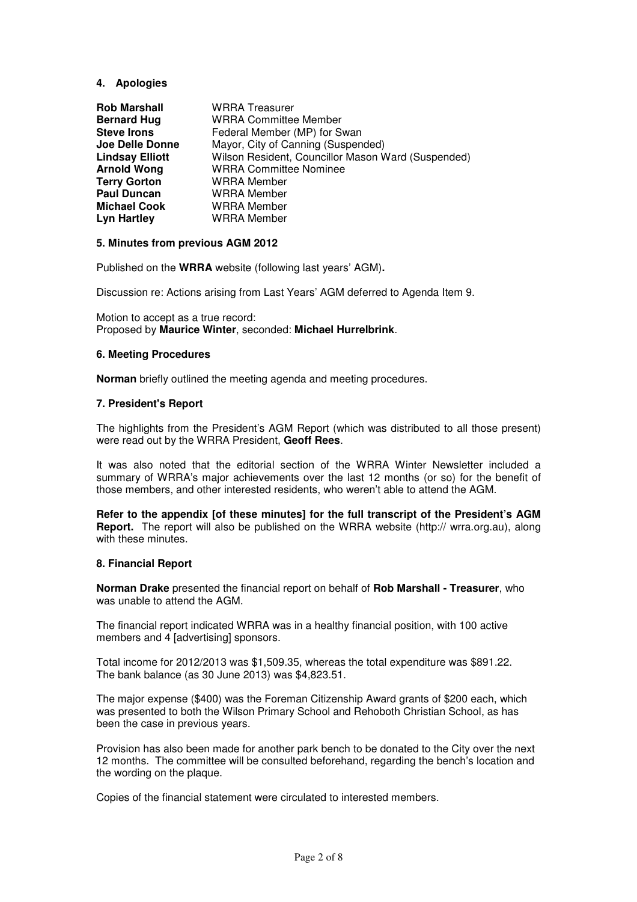## **4. Apologies**

| <b>Rob Marshall</b>    | <b>WRRA</b> Treasurer                              |
|------------------------|----------------------------------------------------|
| <b>Bernard Hug</b>     | <b>WRRA Committee Member</b>                       |
| <b>Steve Irons</b>     | Federal Member (MP) for Swan                       |
| Joe Delle Donne        | Mayor, City of Canning (Suspended)                 |
| <b>Lindsay Elliott</b> | Wilson Resident, Councillor Mason Ward (Suspended) |
| <b>Arnold Wong</b>     | <b>WRRA Committee Nominee</b>                      |
| <b>Terry Gorton</b>    | <b>WRRA</b> Member                                 |
| <b>Paul Duncan</b>     | <b>WRRA</b> Member                                 |
| <b>Michael Cook</b>    | <b>WRRA</b> Member                                 |
| <b>Lyn Hartley</b>     | <b>WRRA</b> Member                                 |

#### **5. Minutes from previous AGM 2012**

Published on the **WRRA** website (following last years' AGM)**.** 

Discussion re: Actions arising from Last Years' AGM deferred to Agenda Item 9.

Motion to accept as a true record: Proposed by **Maurice Winter**, seconded: **Michael Hurrelbrink**.

#### **6. Meeting Procedures**

**Norman** briefly outlined the meeting agenda and meeting procedures.

#### **7. President's Report**

The highlights from the President's AGM Report (which was distributed to all those present) were read out by the WRRA President, **Geoff Rees**.

It was also noted that the editorial section of the WRRA Winter Newsletter included a summary of WRRA's major achievements over the last 12 months (or so) for the benefit of those members, and other interested residents, who weren't able to attend the AGM.

**Refer to the appendix [of these minutes] for the full transcript of the President's AGM Report.** The report will also be published on the WRRA website (http:// wrra.org.au), along with these minutes.

#### **8. Financial Report**

**Norman Drake** presented the financial report on behalf of **Rob Marshall - Treasurer**, who was unable to attend the AGM.

The financial report indicated WRRA was in a healthy financial position, with 100 active members and 4 [advertising] sponsors.

Total income for 2012/2013 was \$1,509.35, whereas the total expenditure was \$891.22. The bank balance (as 30 June 2013) was \$4,823.51.

The major expense (\$400) was the Foreman Citizenship Award grants of \$200 each, which was presented to both the Wilson Primary School and Rehoboth Christian School, as has been the case in previous years.

Provision has also been made for another park bench to be donated to the City over the next 12 months. The committee will be consulted beforehand, regarding the bench's location and the wording on the plaque.

Copies of the financial statement were circulated to interested members.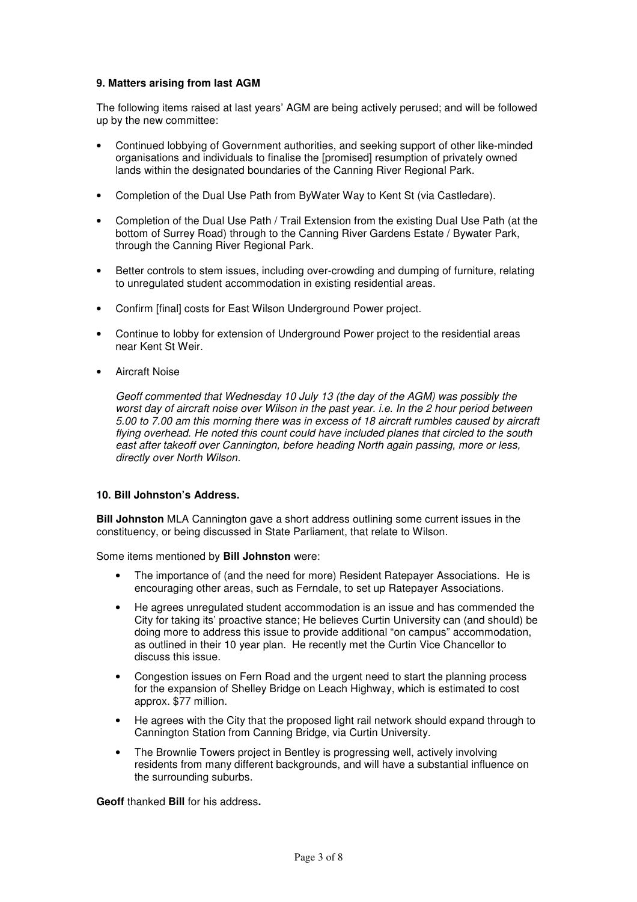## **9. Matters arising from last AGM**

The following items raised at last years' AGM are being actively perused; and will be followed up by the new committee:

- Continued lobbying of Government authorities, and seeking support of other like-minded organisations and individuals to finalise the [promised] resumption of privately owned lands within the designated boundaries of the Canning River Regional Park.
- Completion of the Dual Use Path from ByWater Way to Kent St (via Castledare).
- Completion of the Dual Use Path / Trail Extension from the existing Dual Use Path (at the bottom of Surrey Road) through to the Canning River Gardens Estate / Bywater Park, through the Canning River Regional Park.
- Better controls to stem issues, including over-crowding and dumping of furniture, relating to unregulated student accommodation in existing residential areas.
- Confirm [final] costs for East Wilson Underground Power project.
- Continue to lobby for extension of Underground Power project to the residential areas near Kent St Weir.
- Aircraft Noise

Geoff commented that Wednesday 10 July 13 (the day of the AGM) was possibly the worst day of aircraft noise over Wilson in the past year. i.e. In the 2 hour period between 5.00 to 7.00 am this morning there was in excess of 18 aircraft rumbles caused by aircraft flying overhead. He noted this count could have included planes that circled to the south east after takeoff over Cannington, before heading North again passing, more or less, directly over North Wilson.

## **10. Bill Johnston's Address.**

**Bill Johnston** MLA Cannington gave a short address outlining some current issues in the constituency, or being discussed in State Parliament, that relate to Wilson.

Some items mentioned by **Bill Johnston** were:

- The importance of (and the need for more) Resident Ratepayer Associations. He is encouraging other areas, such as Ferndale, to set up Ratepayer Associations.
- He agrees unregulated student accommodation is an issue and has commended the City for taking its' proactive stance; He believes Curtin University can (and should) be doing more to address this issue to provide additional "on campus" accommodation, as outlined in their 10 year plan. He recently met the Curtin Vice Chancellor to discuss this issue.
- Congestion issues on Fern Road and the urgent need to start the planning process for the expansion of Shelley Bridge on Leach Highway, which is estimated to cost approx. \$77 million.
- He agrees with the City that the proposed light rail network should expand through to Cannington Station from Canning Bridge, via Curtin University.
- The Brownlie Towers project in Bentley is progressing well, actively involving residents from many different backgrounds, and will have a substantial influence on the surrounding suburbs.

**Geoff** thanked **Bill** for his address**.**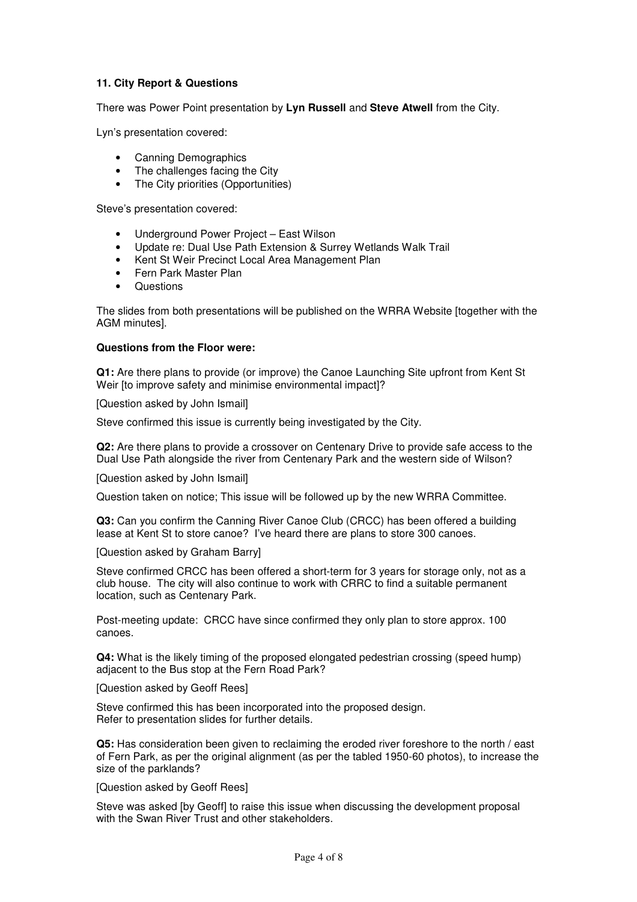## **11. City Report & Questions**

There was Power Point presentation by **Lyn Russell** and **Steve Atwell** from the City.

Lyn's presentation covered:

- Canning Demographics
- The challenges facing the City
- The City priorities (Opportunities)

Steve's presentation covered:

- Underground Power Project East Wilson
- Update re: Dual Use Path Extension & Surrey Wetlands Walk Trail
- Kent St Weir Precinct Local Area Management Plan
- Fern Park Master Plan
- **Questions**

The slides from both presentations will be published on the WRRA Website [together with the AGM minutes].

#### **Questions from the Floor were:**

**Q1:** Are there plans to provide (or improve) the Canoe Launching Site upfront from Kent St Weir [to improve safety and minimise environmental impact]?

[Question asked by John Ismail]

Steve confirmed this issue is currently being investigated by the City.

**Q2:** Are there plans to provide a crossover on Centenary Drive to provide safe access to the Dual Use Path alongside the river from Centenary Park and the western side of Wilson?

[Question asked by John Ismail]

Question taken on notice; This issue will be followed up by the new WRRA Committee.

**Q3:** Can you confirm the Canning River Canoe Club (CRCC) has been offered a building lease at Kent St to store canoe? I've heard there are plans to store 300 canoes.

[Question asked by Graham Barry]

Steve confirmed CRCC has been offered a short-term for 3 years for storage only, not as a club house. The city will also continue to work with CRRC to find a suitable permanent location, such as Centenary Park.

Post-meeting update: CRCC have since confirmed they only plan to store approx. 100 canoes.

**Q4:** What is the likely timing of the proposed elongated pedestrian crossing (speed hump) adjacent to the Bus stop at the Fern Road Park?

[Question asked by Geoff Rees]

Steve confirmed this has been incorporated into the proposed design. Refer to presentation slides for further details.

**Q5:** Has consideration been given to reclaiming the eroded river foreshore to the north / east of Fern Park, as per the original alignment (as per the tabled 1950-60 photos), to increase the size of the parklands?

[Question asked by Geoff Rees]

Steve was asked [by Geoff] to raise this issue when discussing the development proposal with the Swan River Trust and other stakeholders.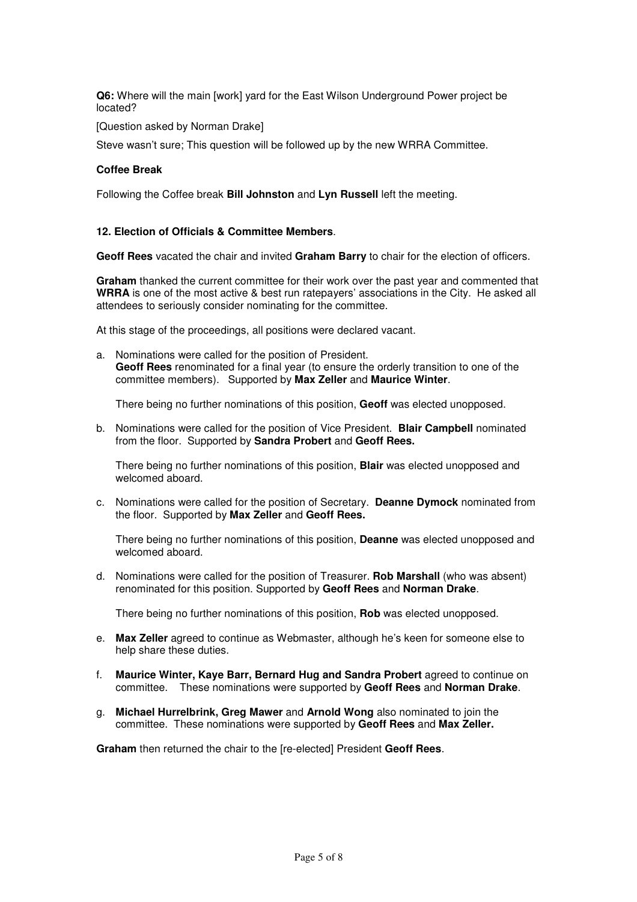**Q6:** Where will the main [work] yard for the East Wilson Underground Power project be located?

[Question asked by Norman Drake]

Steve wasn't sure; This question will be followed up by the new WRRA Committee.

#### **Coffee Break**

Following the Coffee break **Bill Johnston** and **Lyn Russell** left the meeting.

#### **12. Election of Officials & Committee Members**.

**Geoff Rees** vacated the chair and invited **Graham Barry** to chair for the election of officers.

**Graham** thanked the current committee for their work over the past year and commented that **WRRA** is one of the most active & best run ratepayers' associations in the City. He asked all attendees to seriously consider nominating for the committee.

At this stage of the proceedings, all positions were declared vacant.

a. Nominations were called for the position of President. **Geoff Rees** renominated for a final year (to ensure the orderly transition to one of the committee members). Supported by **Max Zeller** and **Maurice Winter**.

There being no further nominations of this position, **Geoff** was elected unopposed.

b. Nominations were called for the position of Vice President. **Blair Campbell** nominated from the floor. Supported by **Sandra Probert** and **Geoff Rees.** 

There being no further nominations of this position, **Blair** was elected unopposed and welcomed aboard.

c. Nominations were called for the position of Secretary. **Deanne Dymock** nominated from the floor. Supported by **Max Zeller** and **Geoff Rees.**

There being no further nominations of this position, **Deanne** was elected unopposed and welcomed aboard.

d. Nominations were called for the position of Treasurer. **Rob Marshall** (who was absent) renominated for this position. Supported by **Geoff Rees** and **Norman Drake**.

There being no further nominations of this position, **Rob** was elected unopposed.

- e. **Max Zeller** agreed to continue as Webmaster, although he's keen for someone else to help share these duties.
- f. **Maurice Winter, Kaye Barr, Bernard Hug and Sandra Probert** agreed to continue on committee. These nominations were supported by **Geoff Rees** and **Norman Drake**.
- g. **Michael Hurrelbrink, Greg Mawer** and **Arnold Wong** also nominated to join the committee. These nominations were supported by **Geoff Rees** and **Max Zeller.**

**Graham** then returned the chair to the [re-elected] President **Geoff Rees**.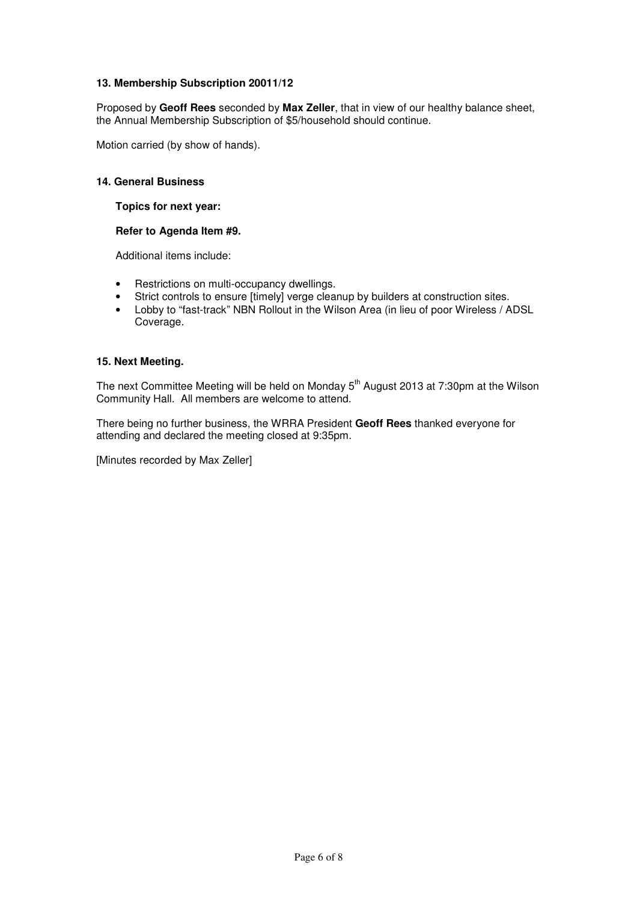## **13. Membership Subscription 20011/12**

Proposed by **Geoff Rees** seconded by **Max Zeller**, that in view of our healthy balance sheet, the Annual Membership Subscription of \$5/household should continue.

Motion carried (by show of hands).

#### **14. General Business**

#### **Topics for next year:**

#### **Refer to Agenda Item #9.**

Additional items include:

- Restrictions on multi-occupancy dwellings.
- Strict controls to ensure [timely] verge cleanup by builders at construction sites.
- Lobby to "fast-track" NBN Rollout in the Wilson Area (in lieu of poor Wireless / ADSL Coverage.

#### **15. Next Meeting.**

The next Committee Meeting will be held on Monday 5<sup>th</sup> August 2013 at 7:30pm at the Wilson Community Hall. All members are welcome to attend.

There being no further business, the WRRA President **Geoff Rees** thanked everyone for attending and declared the meeting closed at 9:35pm.

[Minutes recorded by Max Zeller]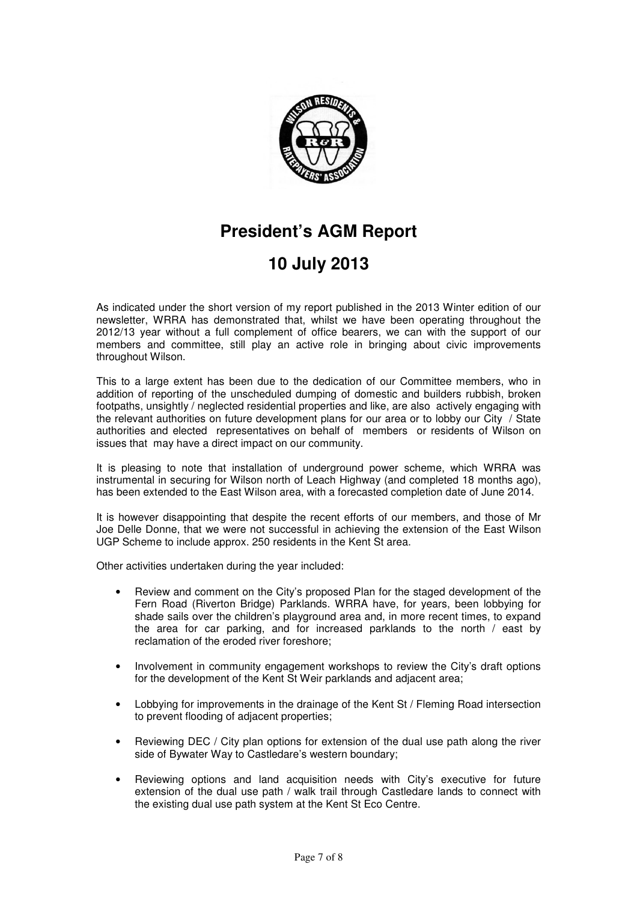

# **President's AGM Report**

# **10 July 2013**

As indicated under the short version of my report published in the 2013 Winter edition of our newsletter, WRRA has demonstrated that, whilst we have been operating throughout the 2012/13 year without a full complement of office bearers, we can with the support of our members and committee, still play an active role in bringing about civic improvements throughout Wilson.

This to a large extent has been due to the dedication of our Committee members, who in addition of reporting of the unscheduled dumping of domestic and builders rubbish, broken footpaths, unsightly / neglected residential properties and like, are also actively engaging with the relevant authorities on future development plans for our area or to lobby our City / State authorities and elected representatives on behalf of members or residents of Wilson on issues that may have a direct impact on our community.

It is pleasing to note that installation of underground power scheme, which WRRA was instrumental in securing for Wilson north of Leach Highway (and completed 18 months ago), has been extended to the East Wilson area, with a forecasted completion date of June 2014.

It is however disappointing that despite the recent efforts of our members, and those of Mr Joe Delle Donne, that we were not successful in achieving the extension of the East Wilson UGP Scheme to include approx. 250 residents in the Kent St area.

Other activities undertaken during the year included:

- Review and comment on the City's proposed Plan for the staged development of the Fern Road (Riverton Bridge) Parklands. WRRA have, for years, been lobbying for shade sails over the children's playground area and, in more recent times, to expand the area for car parking, and for increased parklands to the north / east by reclamation of the eroded river foreshore;
- Involvement in community engagement workshops to review the City's draft options for the development of the Kent St Weir parklands and adjacent area;
- Lobbying for improvements in the drainage of the Kent St / Fleming Road intersection to prevent flooding of adjacent properties;
- Reviewing DEC / City plan options for extension of the dual use path along the river side of Bywater Way to Castledare's western boundary;
- Reviewing options and land acquisition needs with City's executive for future extension of the dual use path / walk trail through Castledare lands to connect with the existing dual use path system at the Kent St Eco Centre.